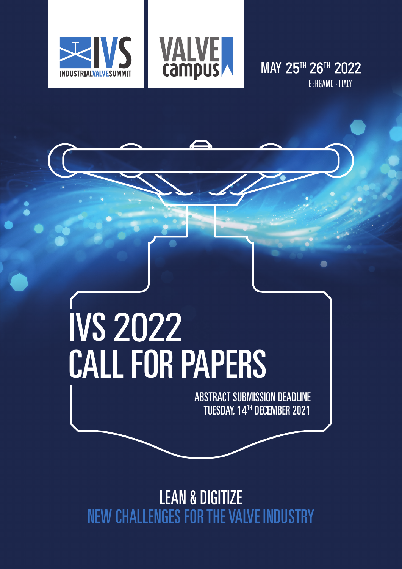



**MAY 25TH 26TH 2022** BERGAMO - ITALY

# IVS 2022 CALL FOR PAPERS

ABSTRACT SUBMISSION DEADLINE TUESDAY, 14TH DECEMBER 2021

LEAN & DIGITIZE NEW CHALLENGES FOR THE VALVE INDUSTRY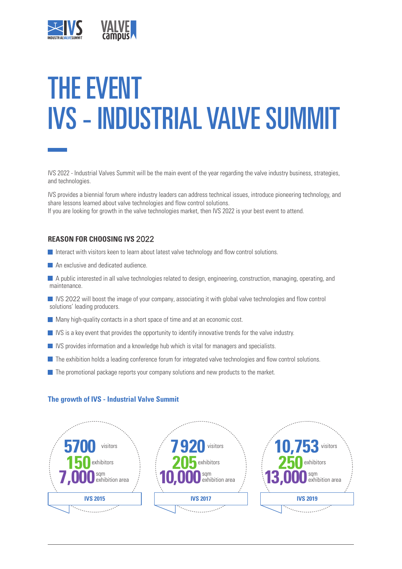

# THE EVENT IVS - INDUSTRIAL VALVE SUMMIT

IVS 2022 - Industrial Valves Summit will be the main event of the year regarding the valve industry business, strategies, and technologies.

IVS provides a biennial forum where industry leaders can address technical issues, introduce pioneering technology, and share lessons learned about valve technologies and flow control solutions. If you are looking for growth in the valve technologies market, then IVS 2022 is your best event to attend.

#### **REASON FOR CHOOSING IVS** 2022

- Interact with visitors keen to learn about latest valve technology and flow control solutions.
- An exclusive and dedicated audience.

 A public interested in all valve technologies related to design, engineering, construction, managing, operating, and maintenance.

IVS 2022 will boost the image of your company, associating it with global valve technologies and flow control solutions' leading producers.

- $\blacksquare$  Many high-quality contacts in a short space of time and at an economic cost.
- $\blacksquare$  IVS is a key event that provides the opportunity to identify innovative trends for the valve industry.
- **IVS** provides information and a knowledge hub which is vital for managers and specialists.
- **The exhibition holds a leading conference forum for integrated valve technologies and flow control solutions.**
- The promotional package reports your company solutions and new products to the market.

#### **The growth of IVS - Industrial Valve Summit**

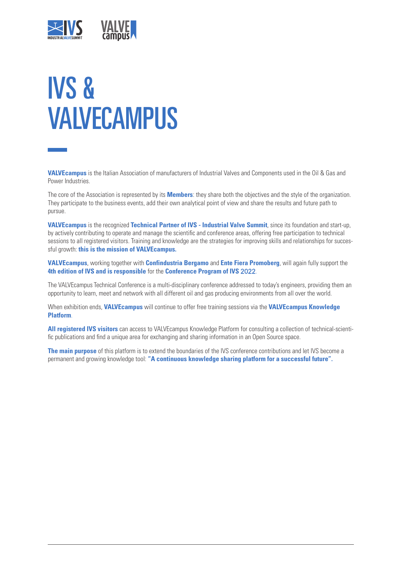

# IVS & **VAIVECAMPUS**

**VALVEcampus** is the Italian Association of manufacturers of Industrial Valves and Components used in the Oil & Gas and Power Industries.

The core of the Association is represented by its **Members**: they share both the objectives and the style of the organization. They participate to the business events, add their own analytical point of view and share the results and future path to pursue.

**VALVEcampus** is the recognized **Technical Partner of IVS - Industrial Valve Summit**, since its foundation and start-up, by actively contributing to operate and manage the scientific and conference areas, offering free participation to technical sessions to all registered visitors. Training and knowledge are the strategies for improving skills and relationships for successful growth: **this is the mission of VALVEcampus.**

**VALVEcampus**, working together with **Confindustria Bergamo** and **Ente Fiera Promoberg**, will again fully support the **4th edition of IVS and is responsible** for the **Conference Program of IVS** 2022.

The VALVEcampus Technical Conference is a multi-disciplinary conference addressed to today's engineers, providing them an opportunity to learn, meet and network with all different oil and gas producing environments from all over the world.

When exhibition ends, **VALVEcampus** will continue to offer free training sessions via the **VALVEcampus Knowledge Platform**.

**All registered IVS visitors** can access to VALVEcampus Knowledge Platform for consulting a collection of technical-scientific publications and find a unique area for exchanging and sharing information in an Open Source space.

**The main purpose** of this platform is to extend the boundaries of the IVS conference contributions and let IVS become a permanent and growing knowledge tool: **"A continuous knowledge sharing platform for a successful future".**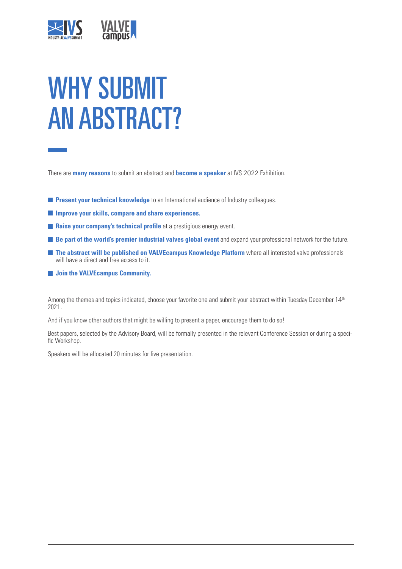

# WHY SUBMIT AN ABSTRACT?

There are **many reasons** to submit an abstract and **become a speaker** at IVS 2022 Exhibition.

- **Present your technical knowledge** to an International audience of Industry colleagues.
- **Improve your skills, compare and share experiences.**
- **Raise your company's technical profile** at a prestigious energy event.
- **Be part of the world's premier industrial valves global event** and expand your professional network for the future.
- **The abstract will be published on VALVEcampus Knowledge Platform** where all interested valve professionals will have a direct and free access to it.
- $\blacksquare$  Join the VALVEcampus Community.

Among the themes and topics indicated, choose your favorite one and submit your abstract within Tuesday December 14 th 2021.

And if you know other authors that might be willing to present a paper, encourage them to do so!

Best papers, selected by the Advisory Board, will be formally presented in the relevant Conference Session or during a specific Workshop.

Speakers will be allocated 20 minutes for live presentation.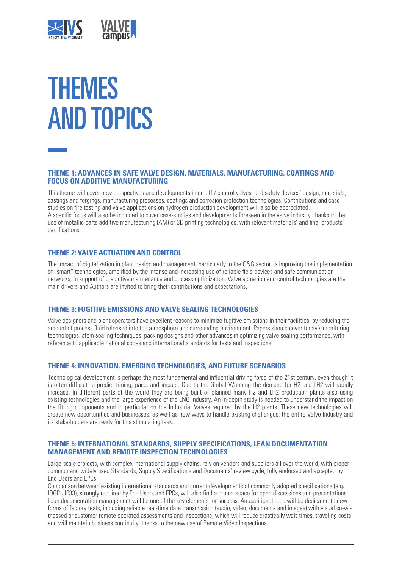

# THEMES AND TOPICS

#### **THEME 1: ADVANCES IN SAFE VALVE DESIGN, MATERIALS, MANUFACTURING, COATINGS AND FOCUS ON ADDITIVE MANUFACTURING**

This theme will cover new perspectives and developments in on-off / control valves' and safety devices' design, materials, castings and forgings, manufacturing processes, coatings and corrosion protection technologies. Contributions and case studies on fire testing and valve applications on hydrogen production development will also be appreciated. A specific focus will also be included to cover case-studies and developments foreseen in the valve industry, thanks to the use of metallic parts additive manufacturing (AM) or 3D printing technologies, with relevant materials' and final products' certifications.

#### **THEME 2: VALVE ACTUATION AND CONTROL**

The impact of digitalization in plant design and management, particularly in the O&G sector, is improving the implementation of "smart" technologies, amplified by the intense and increasing use of reliable field devices and safe communication networks, in support of predictive maintenance and process optimization. Valve actuation and control technologies are the main drivers and Authors are invited to bring their contributions and expectations.

#### **THEME 3: FUGITIVE EMISSIONS AND VALVE SEALING TECHNOLOGIES**

Valve designers and plant operators have excellent reasons to minimize fugitive emissions in their facilities, by reducing the amount of process fluid released into the atmosphere and surrounding environment. Papers should cover today's monitoring technologies, stem sealing techniques, packing designs and other advances in optimizing valve sealing performance, with reference to applicable national codes and international standards for tests and inspections.

#### **THEME 4: INNOVATION, EMERGING TECHNOLOGIES, AND FUTURE SCENARIOS**

Technological development is perhaps the most fundamental and influential driving force of the 21st century, even though it is often difficult to predict timing, pace, and impact. Due to the Global Warming the demand for H2 and LH2 will rapidly increase. In different parts of the world they are being built or planned many H2 and LH2 production plants also using existing technologies and the large experience of the LNG industry. An in-depth study is needed to understand the impact on the fitting components and in particular on the Industrial Valves required by the H2 plants. These new technologies will create new opportunities and businesses, as well as new ways to handle existing challenges: the entire Valve Industry and its stake-holders are ready for this stimulating task.

#### **THEME 5: INTERNATIONAL STANDARDS, SUPPLY SPECIFICATIONS, LEAN DOCUMENTATION MANAGEMENT AND REMOTE INSPECTION TECHNOLOGIES**

Large-scale projects, with complex international supply chains, rely on vendors and suppliers all over the world, with proper common and widely used Standards, Supply Specifications and Documents' review cycle, fully endorsed and accepted by End Users and EPCs.

Comparison between existing international standards and current developments of commonly adopted specifications (e.g. IOGP-JIP33), strongly required by End Users and EPCs, will also find a proper space for open discussions and presentations. Lean documentation management will be one of the key elements for success. An additional area will be dedicated to new forms of factory tests, including reliable real-time data transmission (audio, video, documents and images) with visual co-witnessed or customer remote operated assessments and inspections, which will reduce drastically wait-times, traveling costs and will maintain business continuity, thanks to the new use of Remote Video Inspections.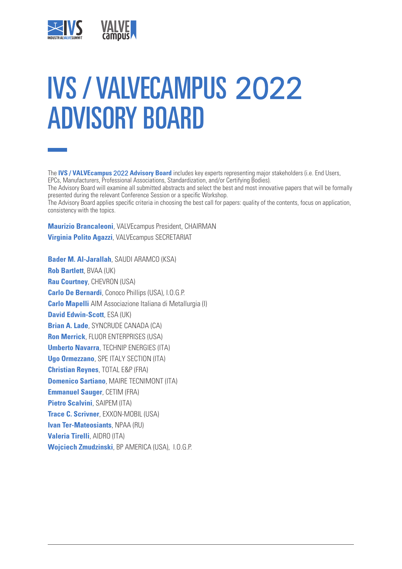

# IVS / VALVECAMPUS 2022 ADVISORY BOARD

The **IVS / VALVEcampus** 2022 **Advisory Board** includes key experts representing major stakeholders (i.e. End Users, EPCs, Manufacturers, Professional Associations, Standardization, and/or Certifying Bodies). The Advisory Board will examine all submitted abstracts and select the best and most innovative papers that will be formally presented during the relevant Conference Session or a specific Workshop. The Advisory Board applies specific criteria in choosing the best call for papers: quality of the contents, focus on application, consistency with the topics.

**Maurizio Brancaleoni**, VALVEcampus President, CHAIRMAN **Virginia Polito Agazzi**, VALVEcampus SECRETARIAT

**Bader M. Al-Jarallah**, SAUDI ARAMCO (KSA) **Rob Bartlett**, BVAA (UK) **Rau Courtney**, CHEVRON (USA) **Carlo De Bernardi**, Conoco Phillips (USA), I.O.G.P. **Carlo Mapelli** AIM Associazione Italiana di Metallurgia (I) **David Edwin-Scott**, ESA (UK) **Brian A. Lade**, SYNCRUDE CANADA (CA) **Ron Merrick**, FLUOR ENTERPRISES (USA) **Umberto Navarra**, TECHNIP ENERGIES (ITA) **Ugo Ormezzano**, SPE ITALY SECTION (ITA) **Christian Reynes**, TOTAL E&P (FRA) **Domenico Sartiano**, MAIRE TECNIMONT (ITA) **Emmanuel Sauger**, CETIM (FRA) **Pietro Scalvini**, SAIPEM (ITA) **Trace C. Scrivner**, EXXON-MOBIL (USA) **Ivan Ter-Mateosiants**, NPAA (RU) **Valeria Tirelli**, AIDRO (ITA) **Wojciech Zmudzinski**, BP AMERICA (USA), I.O.G.P.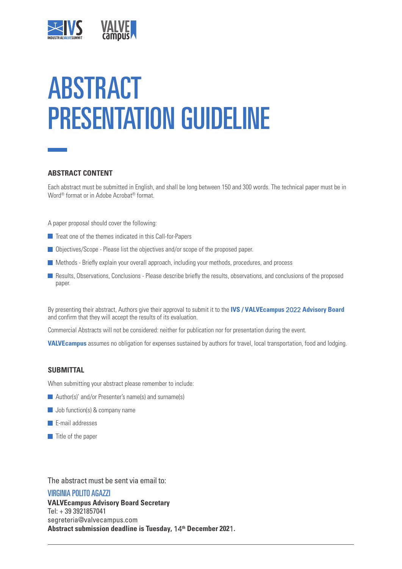

# ABSTRACT PRESENTATION GUIDELINE

#### **ABSTRACT CONTENT**

Each abstract must be submitted in English, and shall be long between 150 and 300 words. The technical paper must be in Word® format or in Adobe Acrobat® format.

A paper proposal should cover the following:

- $\blacksquare$  Treat one of the themes indicated in this Call-for-Papers
- Objectives/Scope Please list the objectives and/or scope of the proposed paper.
- Methods Briefly explain your overall approach, including your methods, procedures, and process
- Results, Observations, Conclusions Please describe briefly the results, observations, and conclusions of the proposed paper.

By presenting their abstract, Authors give their approval to submit it to the **IVS / VALVEcampus** 2022 **Advisory Board** and confirm that they will accept the results of its evaluation.

Commercial Abstracts will not be considered: neither for publication nor for presentation during the event.

**VALVEcampus** assumes no obligation for expenses sustained by authors for travel, local transportation, food and lodging.

#### **SUBMITTAL**

When submitting your abstract please remember to include:

- **Author(s)' and/or Presenter's name(s) and surname(s)**
- **Job function(s) & company name**
- $\blacksquare$  E-mail addresses
- $\blacksquare$  Title of the paper

The abstract must be sent via email to:

#### VIRGINIA POLITO AGAZZI

**VALVEcampus Advisory Board Secretary**  Tel: + 39 3921857041 segreteria@valvecampus.com **Abstract submission deadline is Tuesday,** 14**th December 202**1**.**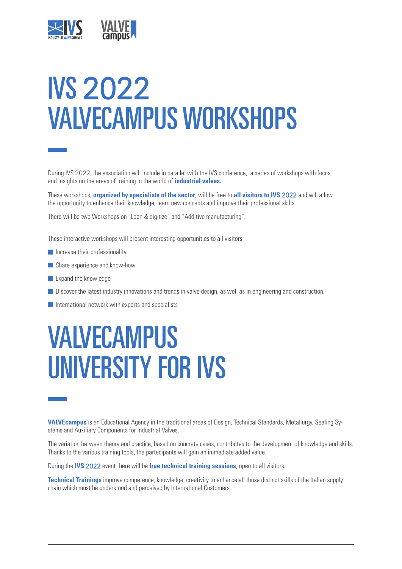

# IVS 2022 VALVECAMPUS WORKSHOPS

During IVS 2022, the association will include in parallel with the IVS conference, a series of workshops with focus and insights on the areas of training in the world of **industrial valves.**

These workshops, **organized by specialists of the sector**, will be free to **all visitors to IVS** 2022 and will allow the opportunity to enhance their knowledge, learn new concepts and improve their professional skills.

There will be two Workshops on "Lean & digitize" and "Additive manufacturing".

These interactive workshops will present interesting opportunities to all visitors:

- $\blacksquare$  Increase their professionality
- Share experience and know-how
- **Expand the knowledge**
- Discover the latest industry innovations and trends in valve design, as well as in engineering and construction.
- $\blacksquare$  International network with experts and specialists

### VALVECAMPUS UNIVERSITY FOR IVS

**VALVEcampus** is an Educational Agency in the traditional areas of Design, Technical Standards, Metallurgy, Sealing Systems and Auxiliary Components for Industrial Valves.

The variation between theory and practice, based on concrete cases, contributes to the development of knowledge and skills. Thanks to the various training tools, the partecipants will gain an immediate added value.

During the **IVS** 2022 event there will be **free technical training sessions**, open to all visitors.

**Technical Trainings** improve competence, knowledge, creativity to enhance all those distinct skills of the Italian supply chain which must be understood and perceived by International Customers.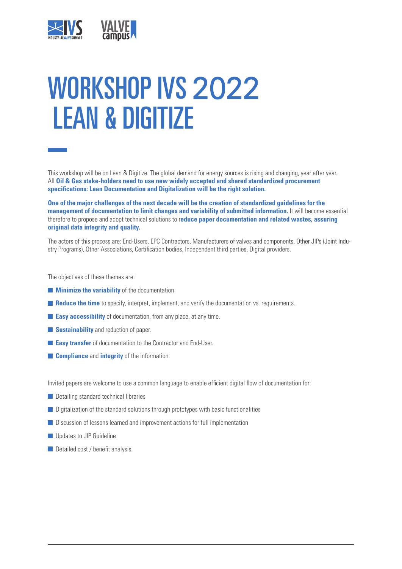

# WORKSHOP IVS 2022 LEAN & DIGITIZE

This workshop will be on Lean & Digitize. The global demand for energy sources is rising and changing, year after year. All **Oil & Gas stake-holders need to use new widely accepted and shared standardized procurement specifications: Lean Documentation and Digitalization will be the right solution.**

**One of the major challenges of the next decade will be the creation of standardized guidelines for the management of documentation to limit changes and variability of submitted information.** It will become essential therefore to propose and adopt technical solutions to r**educe paper documentation and related wastes, assuring original data integrity and quality.**

The actors of this process are: End-Users, EPC Contractors, Manufacturers of valves and components, Other JIPs (Joint Industry Programs), Other Associations, Certification bodies, Independent third parties, Digital providers.

The objectives of these themes are:

- **Minimize the variability** of the documentation
- **Reduce the time** to specify, interpret, implement, and verify the documentation vs. requirements.
- **Easy accessibility** of documentation, from any place, at any time.
- **Sustainability** and reduction of paper.
- **Easy transfer** of documentation to the Contractor and End-User.
- **Compliance** and **integrity** of the information.

Invited papers are welcome to use a common language to enable efficient digital flow of documentation for:

- Detailing standard technical libraries
- $\Box$  Digitalization of the standard solutions through prototypes with basic functionalities
- **Discussion of lessons learned and improvement actions for full implementation**
- **Updates to JIP Guideline**
- Detailed cost / benefit analysis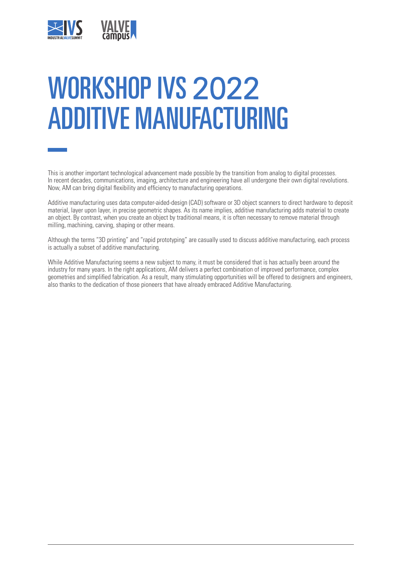

# WORKSHOP IVS 2022 ADDITIVE MANUFACTURING

This is another important technological advancement made possible by the transition from analog to digital processes. In recent decades, communications, imaging, architecture and engineering have all undergone their own digital revolutions. Now, AM can bring digital flexibility and efficiency to manufacturing operations.

Additive manufacturing uses data computer-aided-design (CAD) software or 3D object scanners to direct hardware to deposit material, layer upon layer, in precise geometric shapes. As its name implies, additive manufacturing adds material to create an object. By contrast, when you create an object by traditional means, it is often necessary to remove material through milling, machining, carving, shaping or other means.

Although the terms "3D printing" and "rapid prototyping" are casually used to discuss additive manufacturing, each process is actually a subset of additive manufacturing.

While Additive Manufacturing seems a new subject to many, it must be considered that is has actually been around the industry for many years. In the right applications, AM delivers a perfect combination of improved performance, complex geometries and simplified fabrication. As a result, many stimulating opportunities will be offered to designers and engineers, also thanks to the dedication of those pioneers that have already embraced Additive Manufacturing.